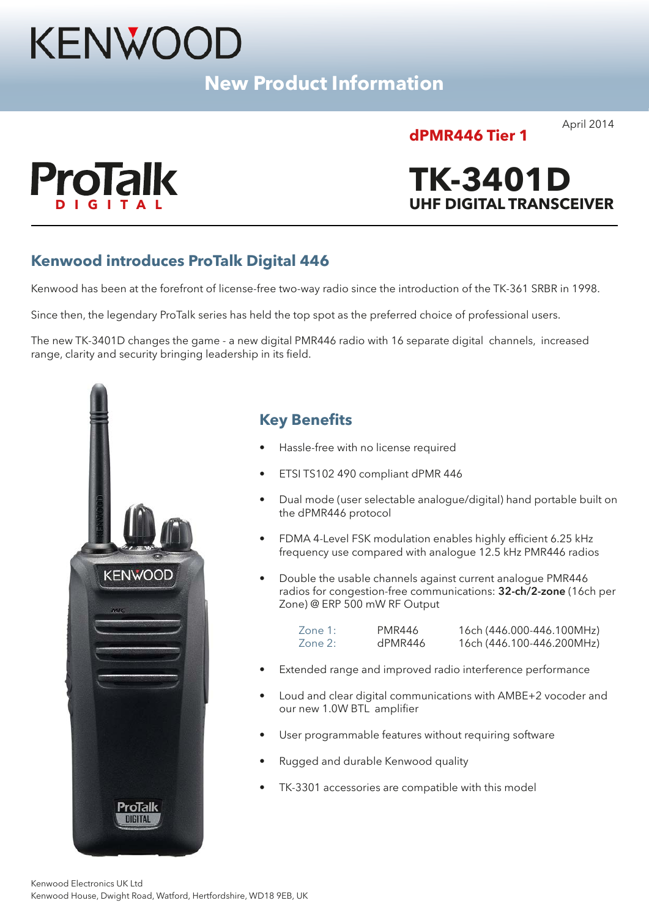# KENWOOD

**New Product Information**

## **dPMR446 Tier 1**

April 2014



# **TK-3401D DIGITAL UHF DIGITAL TRANSCEIVER**

## **Kenwood introduces ProTalk Digital 446**

Kenwood has been at the forefront of license-free two-way radio since the introduction of the TK-361 SRBR in 1998.

Since then, the legendary ProTalk series has held the top spot as the preferred choice of professional users.

The new TK-3401D changes the game - a new digital PMR446 radio with 16 separate digital channels, increased range, clarity and security bringing leadership in its field.



## **Key Benefits**

- Hassle-free with no license required
- ETSI TS102 490 compliant dPMR 446
- Dual mode (user selectable analogue/digital) hand portable built on the dPMR446 protocol
- FDMA 4-Level FSK modulation enables highly efficient 6.25 kHz frequency use compared with analogue 12.5 kHz PMR446 radios
- Double the usable channels against current analogue PMR446 radios for congestion-free communications: **32-ch/2-zone** (16ch per Zone) @ ERP 500 mW RF Output

| Zone 1: | PMR446  | 16ch (446.000-446.100MHz) |
|---------|---------|---------------------------|
| Zone 2: | dPMR446 | 16ch (446.100-446.200MHz) |

- Extended range and improved radio interference performance
- Loud and clear digital communications with AMBE+2 vocoder and our new 1.0W BTL amplifier
- User programmable features without requiring software
- Rugged and durable Kenwood quality
- TK-3301 accessories are compatible with this model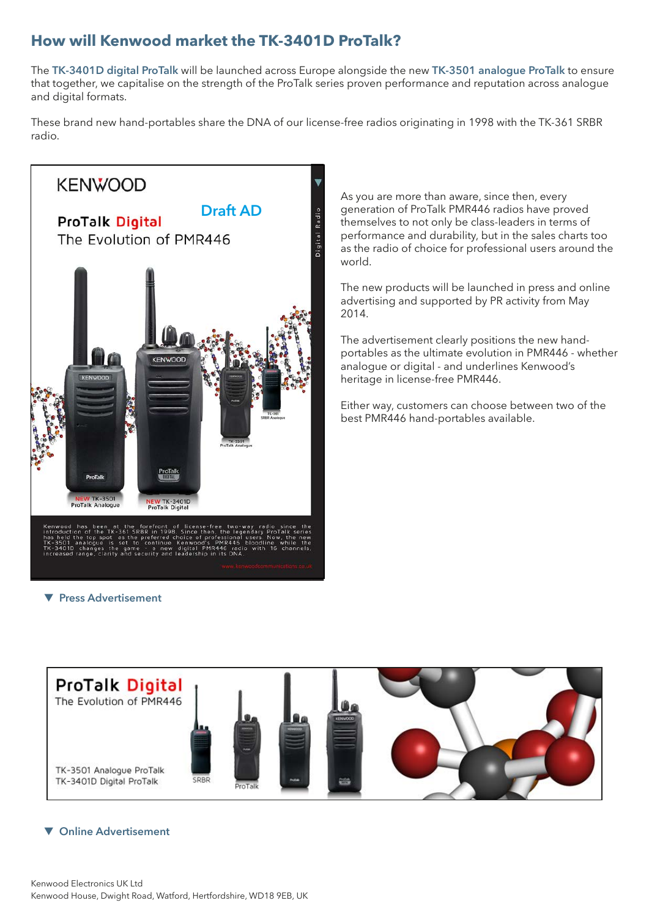## **How will Kenwood market the TK-3401D ProTalk?**

The **TK-3401D digital ProTalk** will be launched across Europe alongside the new **TK-3501 analogue ProTalk** to ensure that together, we capitalise on the strength of the ProTalk series proven performance and reputation across analogue and digital formats.

These brand new hand-portables share the DNA of our license-free radios originating in 1998 with the TK-361 SRBR radio.



As you are more than aware, since then, every generation of ProTalk PMR446 radios have proved themselves to not only be class-leaders in terms of performance and durability, but in the sales charts too as the radio of choice for professional users around the world.

The new products will be launched in press and online advertising and supported by PR activity from May 2014.

The advertisement clearly positions the new handportables as the ultimate evolution in PMR446 - whether analogue or digital - and underlines Kenwood's heritage in license-free PMR446.

Either way, customers can choose between two of the best PMR446 hand-portables available.

 $\blacktriangledown$  **Press Advertisement** 



#### **v** Online Advertisement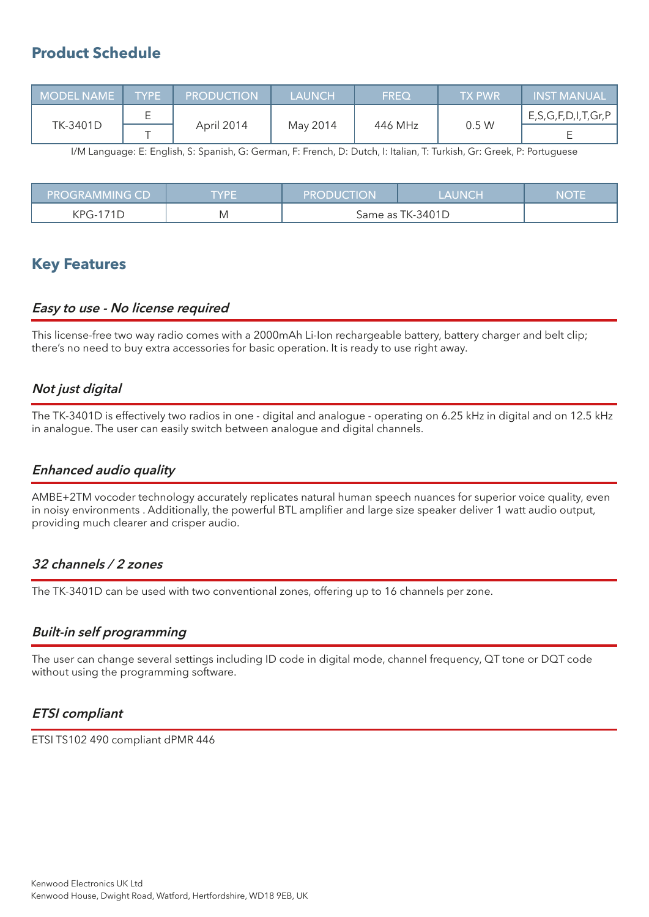## **Product Schedule**

| I MODEL NAME T | TYPE | <b>PRODUCTION</b> | LAUNCH   | <b>FREQ</b> | <b>TX PWR</b> | <b>INST MANUAL</b>         |
|----------------|------|-------------------|----------|-------------|---------------|----------------------------|
| TK-3401D       |      | April 2014<br>--  | May 2014 | 446 MHz     | 0.5 W         | E, S, G, F, D, I, T, Gr, P |
|                |      |                   |          |             |               |                            |

I/M Language: E: English, S: Spanish, G: German, F: French, D: Dutch, I: Italian, T: Turkish, Gr: Greek, P: Portuguese

| <b>PROGRAMMING CD</b> | TYPE | <b>PRODUCTION</b> | <b>LAUNCH</b> | <b>NOTE</b> |
|-----------------------|------|-------------------|---------------|-------------|
| KPG-171D              | M    | Same as TK-3401D  |               |             |

## **Key Features**

#### **Easy to use - No license required**

This license-free two way radio comes with a 2000mAh Li-Ion rechargeable battery, battery charger and belt clip; there's no need to buy extra accessories for basic operation. It is ready to use right away.

## **Not just digital**

The TK-3401D is effectively two radios in one - digital and analogue - operating on 6.25 kHz in digital and on 12.5 kHz in analogue. The user can easily switch between analogue and digital channels.

## **Enhanced audio quality**

AMBE+2TM vocoder technology accurately replicates natural human speech nuances for superior voice quality, even in noisy environments . Additionally, the powerful BTL amplifier and large size speaker deliver 1 watt audio output, providing much clearer and crisper audio.

#### **32 channels / 2 zones**

The TK-3401D can be used with two conventional zones, offering up to 16 channels per zone.

## **Built-in self programming**

The user can change several settings including ID code in digital mode, channel frequency, QT tone or DQT code without using the programming software.

## **ETSI compliant**

ETSI TS102 490 compliant dPMR 446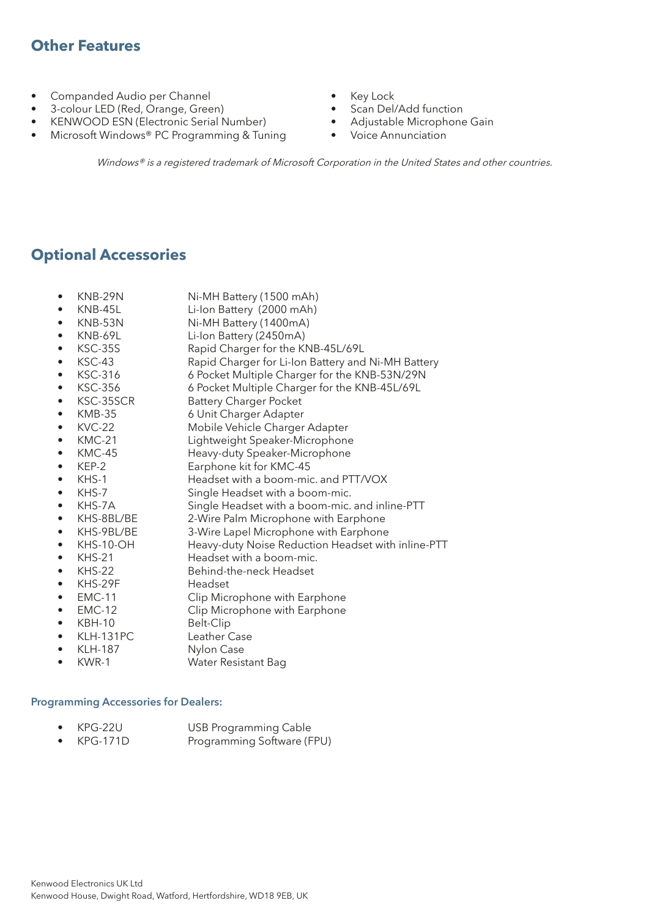## **Other Features**

- Companded Audio per Channel
- 3-colour LED (Red, Orange, Green)
- KENWOOD ESN (Electronic Serial Number)
- Microsoft Windows® PC Programming & Tuning
- Key Lock
- Scan Del/Add function
- Adjustable Microphone Gain
- Voice Annunciation

Windows® is a registered trademark of Microsoft Corporation in the United States and other countries.

## **Optional Accessories**

- KNB-29N Ni-MH Battery (1500 mAh)
- KNB-45L Li-Ion Battery (2000 mAh)
- Ni-MH Battery (1400mA)
- KNB-69L Li-Ion Battery (2450mA)
- KSC-35S Rapid Charger for the KNB-45L/69L
	- KSC-43 Rapid Charger for Li-Ion Battery and Ni-MH Battery
- KSC-316 6 Pocket Multiple Charger for the KNB-53N/29N
- KSC-356 6 Pocket Multiple Charger for the KNB-45L/69L
- 
- KSC-35SCR Battery Charger Pocket
- KMB-35 6 Unit Charger Adapter Mobile Vehicle Charger Adapter
- KMC-21 Lightweight Speaker-Microphone
- KMC-45 Heavy-duty Speaker-Microphone
- KEP-2 Earphone kit for KMC-45
- 
- KHS-1 **Headset with a boom-mic. and PTT/VOX**
- KHS-7 Single Headset with a boom-mic.
- KHS-7A Single Headset with a boom-mic. and inline-PTT<br>KHS-8BL/BE 2-Wire Palm Microphone with Earphone
- 2-Wire Palm Microphone with Earphone
- KHS-9BL/BE 3-Wire Lapel Microphone with Earphone
- KHS-10-OH Heavy-duty Noise Reduction Headset with inline-PTT
- KHS-21 Headset with a boom-mic.
- KHS-22 Behind-the-neck Headset
- KHS-29F Headset
- EMC-11 Clip Microphone with Earphone
- EMC-12 Clip Microphone with Earphone
- 
- KBH-10 Belt-Clip • KLH-131PC Leather Case
- KLH-187 Nylon Case
- **Water Resistant Bag**

#### **Programming Accessories for Dealers:**

- KPG-22U USB Programming Cable
- KPG-171D Programming Software (FPU)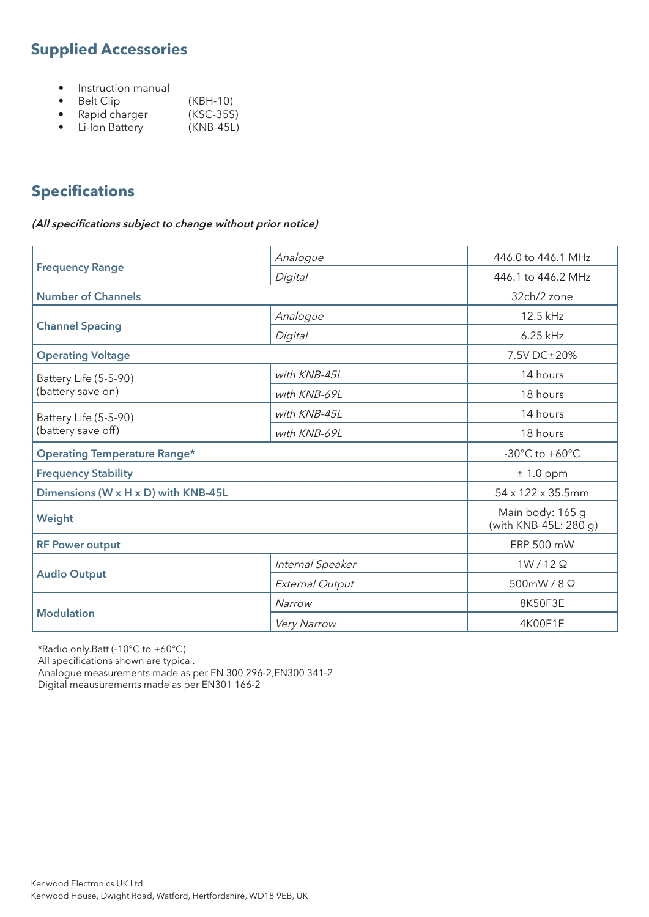# **Supplied Accessories**

- Instruction manual
- Belt Clip (KBH-10)<br>• Rapid charger (KSC-35S)
- Rapid charger (KSC-35S)<br>• Li-Ion Battery (KNB-45L)
- $\bullet$  Li-Ion Battery

# **Specifications**

#### **(All specifications subject to change without prior notice)**

|                                     | 446.0 to 446.1 MHz<br>Analogue |                                           |  |  |
|-------------------------------------|--------------------------------|-------------------------------------------|--|--|
| <b>Frequency Range</b>              | Digital                        | 446.1 to 446.2 MHz                        |  |  |
| <b>Number of Channels</b>           |                                | 32ch/2 zone                               |  |  |
|                                     | Analogue                       | 12.5 kHz                                  |  |  |
| <b>Channel Spacing</b>              | Digital                        | 6.25 kHz                                  |  |  |
| <b>Operating Voltage</b>            |                                | 7.5V DC±20%                               |  |  |
| Battery Life (5-5-90)               | with KNB-45L                   | 14 hours                                  |  |  |
| (battery save on)                   | with KNB-69L                   | 18 hours                                  |  |  |
| Battery Life (5-5-90)               | with KNB-45L                   | 14 hours                                  |  |  |
| (battery save off)                  | 18 hours<br>with KNB-69L       |                                           |  |  |
| <b>Operating Temperature Range*</b> |                                | -30 $^{\circ}$ C to +60 $^{\circ}$ C      |  |  |
| <b>Frequency Stability</b>          |                                | $± 1.0$ ppm                               |  |  |
| Dimensions (W x H x D) with KNB-45L |                                | 54 x 122 x 35.5mm                         |  |  |
| Weight                              |                                | Main body: 165 g<br>(with KNB-45L: 280 g) |  |  |
| <b>RF Power output</b>              |                                | ERP 500 mW                                |  |  |
|                                     | Internal Speaker               | $1W/12\Omega$                             |  |  |
| <b>Audio Output</b>                 | External Output                | 500mW/8Ω                                  |  |  |
|                                     | Narrow                         | 8K50F3E                                   |  |  |
| <b>Modulation</b>                   | 4K00F1E<br>Very Narrow         |                                           |  |  |

\*Radio only.Batt (-10°C to +60°C)

All specifications shown are typical.

Analogue measurements made as per EN 300 296-2,EN300 341-2

Digital meausurements made as per EN301 166-2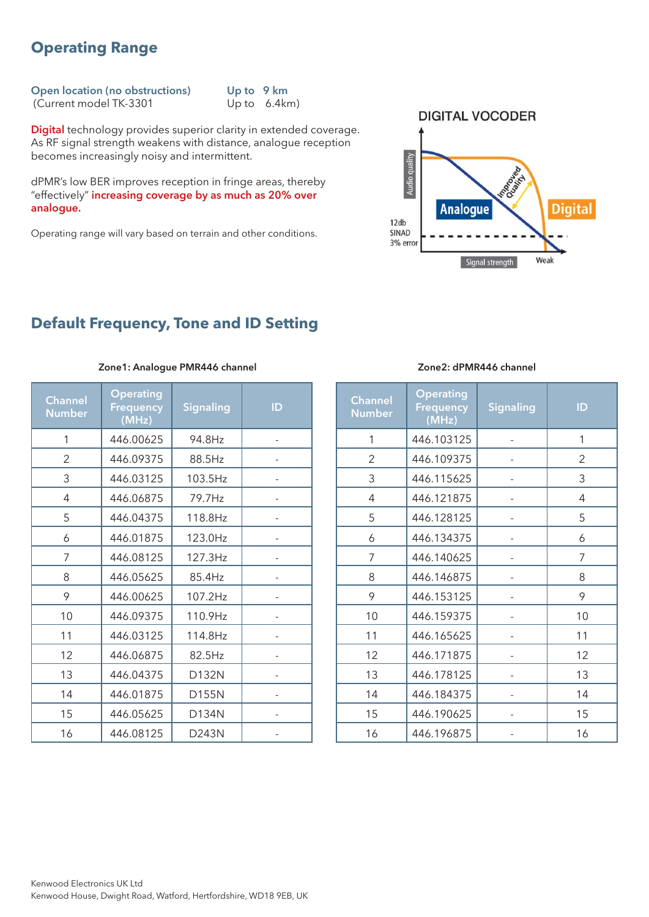## **Operating Range**

**Open location (no obstructions)** Up to 9 km<br>(Current model TK-3301 Up to 6.4 km)  $(Current model TK-3301)$ 

**Digital** technology provides superior clarity in extended coverage. As RF signal strength weakens with distance, analogue reception becomes increasingly noisy and intermittent.

dPMR's low BER improves reception in fringe areas, thereby "effectively" **increasing coverage by as much as 20% over analogue.**

Operating range will vary based on terrain and other conditions.



## **Default Frequency, Tone and ID Setting**

| <b>Channel</b><br><b>Number</b> | <b>Operating</b><br>Frequency<br>(MHz) | <b>Signaling</b> | ID |  |  |
|---------------------------------|----------------------------------------|------------------|----|--|--|
| 1                               | 446.00625                              | 94.8Hz           |    |  |  |
| 2                               | 446.09375                              | 88.5Hz           |    |  |  |
| 3                               | 446.03125                              | 103.5Hz          |    |  |  |
| 4                               | 446.06875                              | 79.7Hz           |    |  |  |
| 5                               | 446.04375<br>118.8Hz                   |                  |    |  |  |
| 6                               | 446.01875                              | 123.0Hz          |    |  |  |
| 7                               | 446.08125                              | 127.3Hz          |    |  |  |
| 8                               | 446.05625                              | 85.4Hz           |    |  |  |
| 9                               | 107.2Hz<br>446.00625                   |                  |    |  |  |
| 10                              | 446.09375                              | 110.9Hz          |    |  |  |
| 11                              | 446.03125                              | 114.8Hz          |    |  |  |
| 12                              | 446.06875                              | 82.5Hz           |    |  |  |
| 13                              | 446.04375                              | D132N            |    |  |  |
| 14                              | 446.01875                              | D155N            |    |  |  |
| 15                              | 446.05625                              | D134N            |    |  |  |
| 16                              | 446.08125                              | D243N            |    |  |  |

#### **Zone1: Analogue PMR446 channel**

#### **Zone2: dPMR446 channel**

| <b>Channel</b><br><b>Number</b> | <b>Operating</b><br><b>Frequency</b><br>(MHz) | <b>Signaling</b>         | ID             |  |
|---------------------------------|-----------------------------------------------|--------------------------|----------------|--|
| 1                               | 446.103125                                    |                          | 1              |  |
| 2                               | 446.109375                                    |                          | $\overline{2}$ |  |
| 3                               | 446.115625                                    |                          | 3              |  |
| 4                               | 446.121875                                    |                          | 4              |  |
| 5                               | 446.128125                                    |                          | 5              |  |
| 6                               | 446.134375                                    |                          | 6              |  |
| 7                               | 446.140625                                    |                          | 7              |  |
| 8                               | 446.146875                                    | $\overline{\phantom{0}}$ | 8              |  |
| 9                               | 446.153125                                    | $\overline{\phantom{0}}$ | 9              |  |
| 10                              | 446.159375                                    | $\overline{\phantom{0}}$ | 10             |  |
| 11                              | 446.165625                                    | $\overline{\phantom{0}}$ | 11             |  |
| 12                              | 446.171875                                    |                          | 12             |  |
| 13                              | 446.178125                                    |                          | 13             |  |
| 14                              | 446.184375                                    |                          | 14             |  |
| 15                              | 446.190625                                    |                          | 15             |  |
| 16                              | 446.196875                                    |                          | 16             |  |